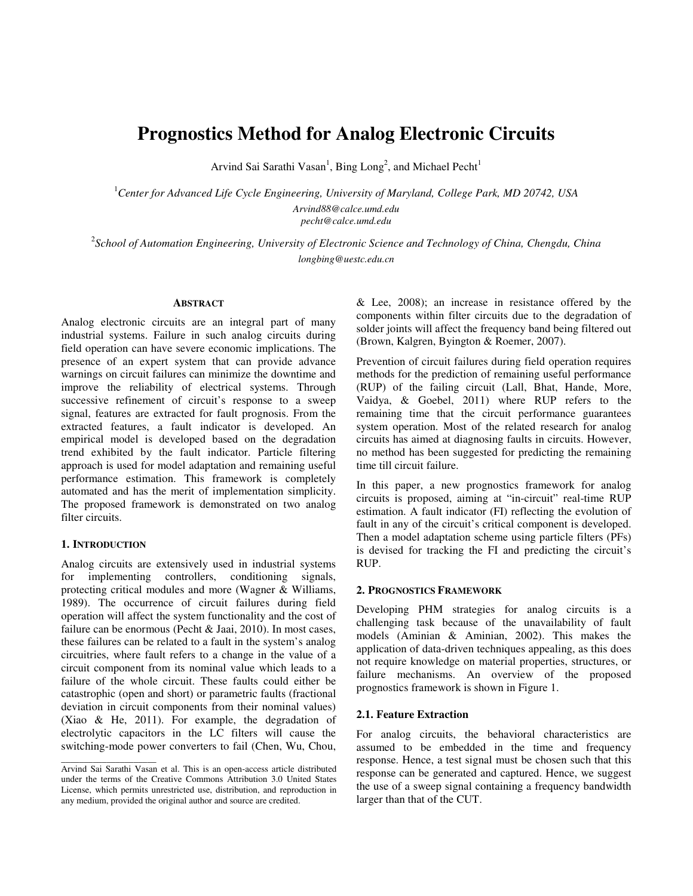# **Prognostics Method for Analog Electronic Circuits**

Arvind Sai Sarathi Vasan<sup>1</sup>, Bing Long<sup>2</sup>, and Michael Pecht<sup>1</sup>

<sup>1</sup>*Center for Advanced Life Cycle Engineering, University of Maryland, College Park, MD 20742, USA Arvind88@calce.umd.edu* 

*pecht@calce.umd.edu* 

2 *School of Automation Engineering, University of Electronic Science and Technology of China, Chengdu, China longbing@uestc.edu.cn* 

## **ABSTRACT**

Analog electronic circuits are an integral part of many industrial systems. Failure in such analog circuits during field operation can have severe economic implications. The presence of an expert system that can provide advance warnings on circuit failures can minimize the downtime and improve the reliability of electrical systems. Through successive refinement of circuit's response to a sweep signal, features are extracted for fault prognosis. From the extracted features, a fault indicator is developed. An empirical model is developed based on the degradation trend exhibited by the fault indicator. Particle filtering approach is used for model adaptation and remaining useful performance estimation. This framework is completely automated and has the merit of implementation simplicity. The proposed framework is demonstrated on two analog filter circuits.

## **1. INTRODUCTION**

\_\_\_\_\_\_\_\_\_\_\_\_\_\_\_\_\_\_\_\_\_

Analog circuits are extensively used in industrial systems for implementing controllers, conditioning signals, protecting critical modules and more (Wagner & Williams, 1989). The occurrence of circuit failures during field operation will affect the system functionality and the cost of failure can be enormous (Pecht & Jaai, 2010). In most cases, these failures can be related to a fault in the system's analog circuitries, where fault refers to a change in the value of a circuit component from its nominal value which leads to a failure of the whole circuit. These faults could either be catastrophic (open and short) or parametric faults (fractional deviation in circuit components from their nominal values) (Xiao & He, 2011). For example, the degradation of electrolytic capacitors in the LC filters will cause the switching-mode power converters to fail (Chen, Wu, Chou,

& Lee, 2008); an increase in resistance offered by the components within filter circuits due to the degradation of solder joints will affect the frequency band being filtered out (Brown, Kalgren, Byington & Roemer, 2007).

Prevention of circuit failures during field operation requires methods for the prediction of remaining useful performance (RUP) of the failing circuit (Lall, Bhat, Hande, More, Vaidya, & Goebel, 2011) where RUP refers to the remaining time that the circuit performance guarantees system operation. Most of the related research for analog circuits has aimed at diagnosing faults in circuits. However, no method has been suggested for predicting the remaining time till circuit failure.

In this paper, a new prognostics framework for analog circuits is proposed, aiming at "in-circuit" real-time RUP estimation. A fault indicator (FI) reflecting the evolution of fault in any of the circuit's critical component is developed. Then a model adaptation scheme using particle filters (PFs) is devised for tracking the FI and predicting the circuit's RUP.

## **2. PROGNOSTICS FRAMEWORK**

Developing PHM strategies for analog circuits is a challenging task because of the unavailability of fault models (Aminian & Aminian, 2002). This makes the application of data-driven techniques appealing, as this does not require knowledge on material properties, structures, or failure mechanisms. An overview of the proposed prognostics framework is shown in Figure 1.

## **2.1. Feature Extraction**

For analog circuits, the behavioral characteristics are assumed to be embedded in the time and frequency response. Hence, a test signal must be chosen such that this response can be generated and captured. Hence, we suggest the use of a sweep signal containing a frequency bandwidth larger than that of the CUT.

Arvind Sai Sarathi Vasan et al. This is an open-access article distributed under the terms of the Creative Commons Attribution 3.0 United States License, which permits unrestricted use, distribution, and reproduction in any medium, provided the original author and source are credited.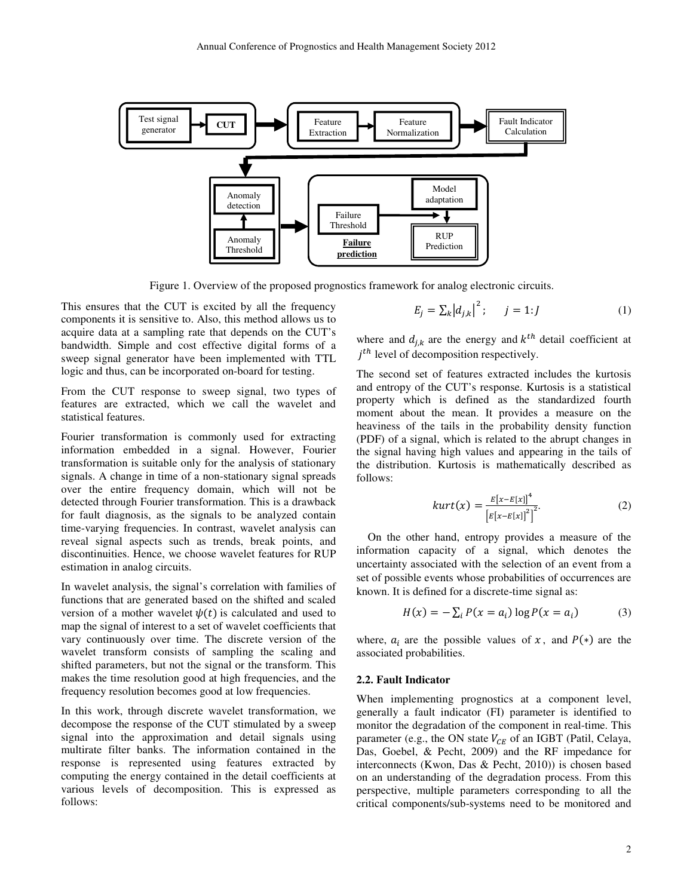

Figure 1. Overview of the proposed prognostics framework for analog electronic circuits.

This ensures that the CUT is excited by all the frequency components it is sensitive to. Also, this method allows us to acquire data at a sampling rate that depends on the CUT's bandwidth. Simple and cost effective digital forms of a sweep signal generator have been implemented with TTL logic and thus, can be incorporated on-board for testing.

From the CUT response to sweep signal, two types of features are extracted, which we call the wavelet and statistical features.

Fourier transformation is commonly used for extracting information embedded in a signal. However, Fourier transformation is suitable only for the analysis of stationary signals. A change in time of a non-stationary signal spreads over the entire frequency domain, which will not be detected through Fourier transformation. This is a drawback for fault diagnosis, as the signals to be analyzed contain time-varying frequencies. In contrast, wavelet analysis can reveal signal aspects such as trends, break points, and discontinuities. Hence, we choose wavelet features for RUP estimation in analog circuits.

In wavelet analysis, the signal's correlation with families of functions that are generated based on the shifted and scaled version of a mother wavelet  $\psi(t)$  is calculated and used to map the signal of interest to a set of wavelet coefficients that vary continuously over time. The discrete version of the wavelet transform consists of sampling the scaling and shifted parameters, but not the signal or the transform. This makes the time resolution good at high frequencies, and the frequency resolution becomes good at low frequencies.

In this work, through discrete wavelet transformation, we decompose the response of the CUT stimulated by a sweep signal into the approximation and detail signals using multirate filter banks. The information contained in the response is represented using features extracted by computing the energy contained in the detail coefficients at various levels of decomposition. This is expressed as follows:

$$
E_j = \sum_k |d_{j,k}|^2; \qquad j = 1:J \tag{1}
$$

where and  $d_{j,k}$  are the energy and  $k^{th}$  detail coefficient at  $j<sup>th</sup>$  level of decomposition respectively.

The second set of features extracted includes the kurtosis and entropy of the CUT's response. Kurtosis is a statistical property which is defined as the standardized fourth moment about the mean. It provides a measure on the heaviness of the tails in the probability density function (PDF) of a signal, which is related to the abrupt changes in the signal having high values and appearing in the tails of the distribution. Kurtosis is mathematically described as follows:

$$
kurt(x) = \frac{E[x - E[x]]^4}{\left[E[x - E[x]]^2\right]^2}.
$$
 (2)

On the other hand, entropy provides a measure of the information capacity of a signal, which denotes the uncertainty associated with the selection of an event from a set of possible events whose probabilities of occurrences are known. It is defined for a discrete-time signal as:

$$
H(x) = -\sum_{i} P(x = a_i) \log P(x = a_i)
$$
 (3)

where,  $a_i$  are the possible values of x, and  $P(*)$  are the associated probabilities.

## **2.2. Fault Indicator**

When implementing prognostics at a component level, generally a fault indicator (FI) parameter is identified to monitor the degradation of the component in real-time. This parameter (e.g., the ON state  $V_{CE}$  of an IGBT (Patil, Celaya, Das, Goebel, & Pecht, 2009) and the RF impedance for interconnects (Kwon, Das & Pecht, 2010)) is chosen based on an understanding of the degradation process. From this perspective, multiple parameters corresponding to all the critical components/sub-systems need to be monitored and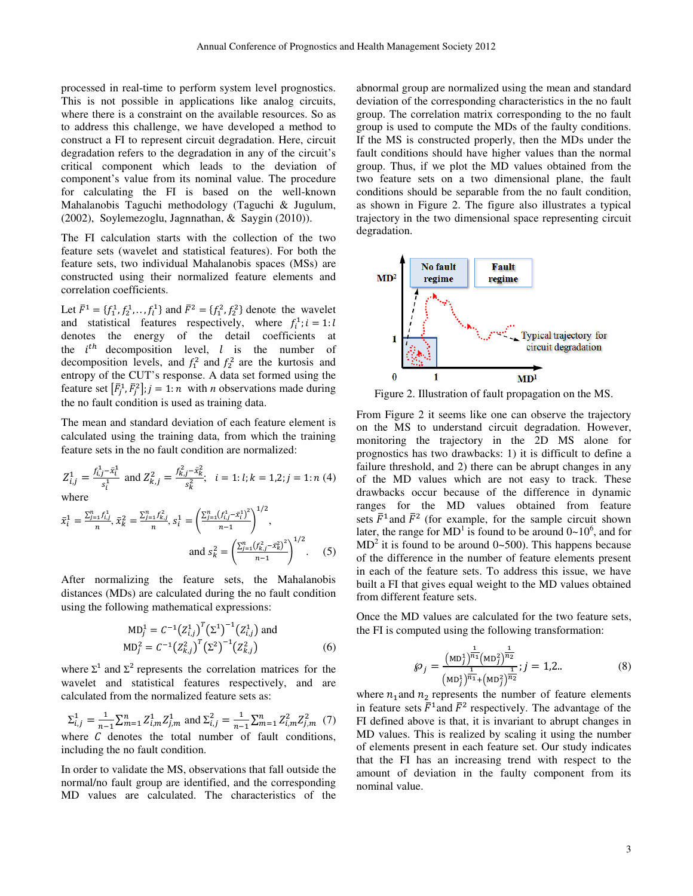processed in real-time to perform system level prognostics. This is not possible in applications like analog circuits, where there is a constraint on the available resources. So as to address this challenge, we have developed a method to construct a FI to represent circuit degradation. Here, circuit degradation refers to the degradation in any of the circuit's critical component which leads to the deviation of component's value from its nominal value. The procedure for calculating the FI is based on the well-known Mahalanobis Taguchi methodology (Taguchi & Jugulum, (2002), Soylemezoglu, Jagnnathan, & Saygin (2010)).

The FI calculation starts with the collection of the two feature sets (wavelet and statistical features). For both the feature sets, two individual Mahalanobis spaces (MSs) are constructed using their normalized feature elements and correlation coefficients.

Let  $\bar{F}^1 = \{f_1^1, f_2^1, \ldots, f_l^1\}$  and  $\bar{F}^2 = \{f_1^2, f_2^2\}$  denote the wavelet and statistical features respectively, where  $f_i^1$ ;  $i = 1$ : l denotes the energy of the detail coefficients at the  $i^{th}$  decomposition level, l is the number of decomposition levels, and  $f_1^2$  and  $f_2^2$  are the kurtosis and entropy of the CUT's response. A data set formed using the feature set  $\left[\overline{F}_j^1, \overline{F}_j^2\right]$ ;  $j = 1:n$  with *n* observations made during the no fault condition is used as training data.

The mean and standard deviation of each feature element is calculated using the training data, from which the training feature sets in the no fault condition are normalized:

$$
Z_{i,j}^1 = \frac{f_{i,j}^1 - \bar{x}_i^1}{s_i^1} \text{ and } Z_{k,j}^2 = \frac{f_{k,j}^2 - \bar{x}_k^2}{s_k^2}; \quad i = 1; l; k = 1, 2; j = 1; n (4)
$$

where

$$
\bar{x}_i^1 = \frac{\sum_{j=1}^n f_{i,j}^1}{n}, \ \bar{x}_k^2 = \frac{\sum_{j=1}^n f_{k,j}^2}{n}, \ s_i^1 = \left(\frac{\sum_{j=1}^n (f_{i,j}^1 - \bar{x}_i^1)^2}{n-1}\right)^{1/2},
$$
\n
$$
\text{and } s_k^2 = \left(\frac{\sum_{j=1}^n (f_{k,j}^2 - \bar{x}_k^2)^2}{n-1}\right)^{1/2}.
$$
\n
$$
(5)
$$

After normalizing the feature sets, the Mahalanobis distances (MDs) are calculated during the no fault condition using the following mathematical expressions:

$$
MD_j^1 = C^{-1} (Z_{i,j}^1)^T (\Sigma^1)^{-1} (Z_{i,j}^1)
$$
 and  
\n
$$
MD_j^2 = C^{-1} (Z_{k,j}^2)^T (\Sigma^2)^{-1} (Z_{k,j}^2)
$$
 (6)

where  $\Sigma^1$  and  $\Sigma^2$  represents the correlation matrices for the wavelet and statistical features respectively, and are calculated from the normalized feature sets as:

 $\Sigma_{i,j}^{1} = \frac{1}{n-1}$  $\frac{1}{n-1} \sum_{m=1}^{n} Z_{i,m}^1 Z_{j,m}^1$  and  $\Sigma_{i,j}^2 = \frac{1}{n-1}$  $\frac{1}{n-1}\sum_{m=1}^{n}Z_{i,m}^{2}Z_{j,m}^{2}$  (7) where  $C$  denotes the total number of fault conditions, including the no fault condition.

In order to validate the MS, observations that fall outside the normal/no fault group are identified, and the corresponding MD values are calculated. The characteristics of the abnormal group are normalized using the mean and standard deviation of the corresponding characteristics in the no fault group. The correlation matrix corresponding to the no fault group is used to compute the MDs of the faulty conditions. If the MS is constructed properly, then the MDs under the fault conditions should have higher values than the normal group. Thus, if we plot the MD values obtained from the two feature sets on a two dimensional plane, the fault conditions should be separable from the no fault condition, as shown in Figure 2. The figure also illustrates a typical trajectory in the two dimensional space representing circuit degradation.



Figure 2. Illustration of fault propagation on the MS.

From Figure 2 it seems like one can observe the trajectory on the MS to understand circuit degradation. However, monitoring the trajectory in the 2D MS alone for prognostics has two drawbacks: 1) it is difficult to define a failure threshold, and 2) there can be abrupt changes in any of the MD values which are not easy to track. These drawbacks occur because of the difference in dynamic ranges for the MD values obtained from feature sets  $\bar{F}^1$  and  $\bar{F}^2$  (for example, for the sample circuit shown later, the range for  $MD<sup>1</sup>$  is found to be around  $0 \sim 10<sup>6</sup>$ , and for  $MD<sup>2</sup>$  it is found to be around 0~500). This happens because of the difference in the number of feature elements present in each of the feature sets. To address this issue, we have built a FI that gives equal weight to the MD values obtained from different feature sets.

Once the MD values are calculated for the two feature sets, the FI is computed using the following transformation:

$$
\wp_j = \frac{(\text{MD}_j^1)^{\frac{1}{n_1}}(\text{MD}_j^2)^{\frac{1}{n_2}}}{(\text{MD}_j^1)^{\frac{1}{n_1}}+(\text{MD}_j^2)^{\frac{1}{n_2}}}; j = 1, 2.. \tag{8}
$$

where  $n_1$  and  $n_2$  represents the number of feature elements in feature sets  $\bar{F}^1$  and  $\bar{F}^2$  respectively. The advantage of the FI defined above is that, it is invariant to abrupt changes in MD values. This is realized by scaling it using the number of elements present in each feature set. Our study indicates that the FI has an increasing trend with respect to the amount of deviation in the faulty component from its nominal value.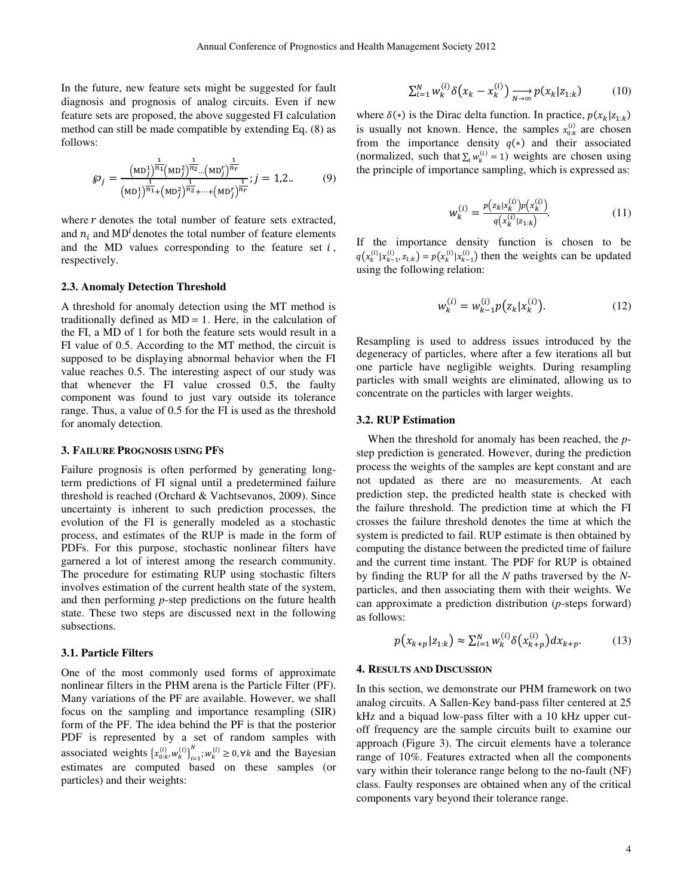In the future, new feature sets might be suggested for fault diagnosis and prognosis of analog circuits. Even if new feature sets are proposed, the above suggested FI calculation method can still be made compatible by extending Eq. (8) as follows:

$$
\wp_j = \frac{\left(\text{MD}_j^1\right)^{\frac{1}{n_1}}\left(\text{MD}_j^2\right)^{\frac{1}{n_2}}\dots\left(\text{MD}_j^r\right)^{\frac{1}{n_r}}}{\left(\text{MD}_j^1\right)^{\frac{1}{n_1}}\left(\text{MD}_j^2\right)^{\frac{1}{n_2}}\dots\left(\text{MD}_j^r\right)^{\frac{1}{n_r}}}; j = 1, 2. \tag{9}
$$

where  *denotes the total number of feature sets extracted,* and  $n_i$  and MD<sup>*i*</sup> denotes the total number of feature elements and the MD values corresponding to the feature set  $i$ , respectively.

#### **2.3. Anomaly Detection Threshold**

A threshold for anomaly detection using the MT method is traditionally defined as  $MD = 1$ . Here, in the calculation of the FI, a MD of 1 for both the feature sets would result in a FI value of 0.5. According to the MT method, the circuit is supposed to be displaying abnormal behavior when the FI value reaches 0.5. The interesting aspect of our study was that whenever the FI value crossed 0.5, the faulty component was found to just vary outside its tolerance range. Thus, a value of 0.5 for the FI is used as the threshold for anomaly detection.

#### **3. FAILURE PROGNOSIS USING PFS**

Failure prognosis is often performed by generating longterm predictions of FI signal until a predetermined failure threshold is reached (Orchard & Vachtsevanos, 2009). Since uncertainty is inherent to such prediction processes, the evolution of the FI is generally modeled as a stochastic process, and estimates of the RUP is made in the form of PDFs. For this purpose, stochastic nonlinear filters have garnered a lot of interest among the research community. The procedure for estimating RUP using stochastic filters involves estimation of the current health state of the system, and then performing *p*-step predictions on the future health state. These two steps are discussed next in the following subsections.

## **3.1. Particle Filters**

One of the most commonly used forms of approximate nonlinear filters in the PHM arena is the Particle Filter (PF). Many variations of the PF are available. However, we shall focus on the sampling and importance resampling (SIR) form of the PF. The idea behind the PF is that the posterior PDF is represented by a set of random samples with associated weights  $\{x_{0:k}^{(i)}, w_k^{(i)}\}_{i=1}^n$  $\bigcup_{i=1}^{N}$ ;  $w_k^{(i)} \ge 0$ ,  $\forall k$  and the Bayesian estimates are computed based on these samples (or particles) and their weights:

$$
\sum_{i=1}^{N} w_k^{(i)} \delta\big(x_k - x_k^{(i)}\big) \underset{N \to \infty}{\longrightarrow} p(x_k | z_{1:k}) \tag{10}
$$

where  $\delta(*)$  is the Dirac delta function. In practice,  $p(x_k|z_{1:k})$ is usually not known. Hence, the samples  $x_{0:k}^{(i)}$  are chosen from the importance density  $q(*)$  and their associated (normalized, such that  $\sum_i w_k^{(i)} = 1$ ) weights are chosen using the principle of importance sampling, which is expressed as:

$$
w_k^{(i)} = \frac{p(z_k | x_k^{(i)}) p(x_k^{(i)})}{q(x_k^{(i)} | z_{1:k})}.
$$
 (11)

If the importance density function is chosen to be  $q(x_k^{(i)}|x_{k-1}^{(i)}, z_{1:k}) = p(x_k^{(i)}|x_{k-1}^{(i)})$  then the weights can be updated using the following relation:

$$
w_k^{(i)} = w_{k-1}^{(i)} p(z_k | x_k^{(i)}).
$$
 (12)

Resampling is used to address issues introduced by the degeneracy of particles, where after a few iterations all but one particle have negligible weights. During resampling particles with small weights are eliminated, allowing us to concentrate on the particles with larger weights.

## **3.2. RUP Estimation**

When the threshold for anomaly has been reached, the *p*step prediction is generated. However, during the prediction process the weights of the samples are kept constant and are not updated as there are no measurements. At each prediction step, the predicted health state is checked with the failure threshold. The prediction time at which the FI crosses the failure threshold denotes the time at which the system is predicted to fail. RUP estimate is then obtained by computing the distance between the predicted time of failure and the current time instant. The PDF for RUP is obtained by finding the RUP for all the *N* paths traversed by the *N*particles, and then associating them with their weights. We can approximate a prediction distribution (*p*-steps forward) as follows:

$$
p(x_{k+p}|z_{1:k}) \approx \sum_{i=1}^{N} w_k^{(i)} \delta(x_{k+p}^{(i)}) dx_{k+p}.
$$
 (13)

### **4. RESULTS AND DISCUSSION**

In this section, we demonstrate our PHM framework on two analog circuits. A Sallen-Key band-pass filter centered at 25 kHz and a biquad low-pass filter with a 10 kHz upper cutoff frequency are the sample circuits built to examine our approach (Figure 3). The circuit elements have a tolerance range of 10%. Features extracted when all the components vary within their tolerance range belong to the no-fault (NF) class. Faulty responses are obtained when any of the critical components vary beyond their tolerance range.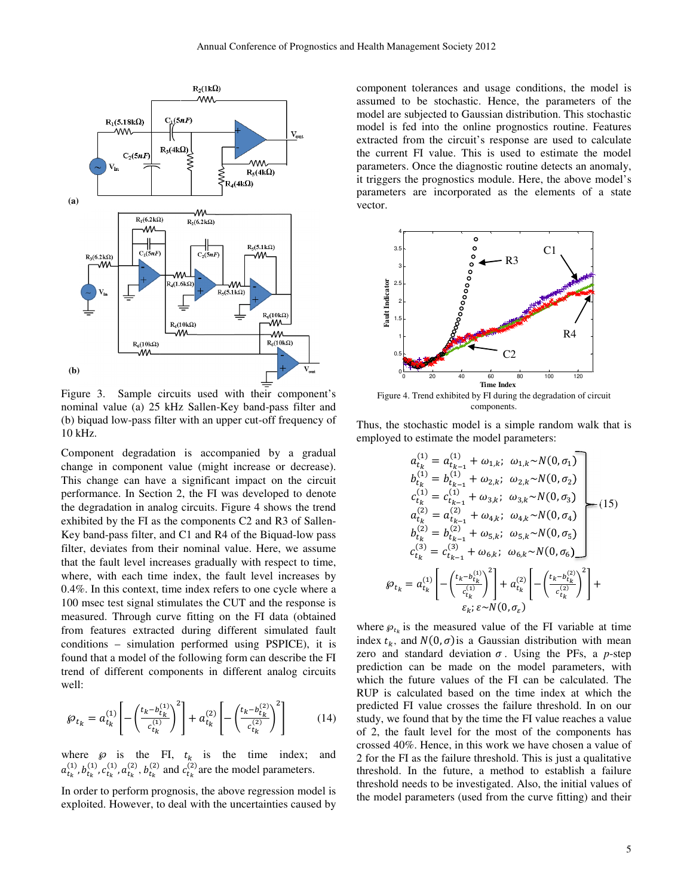

Figure 3. Sample circuits used with their component's nominal value (a) 25 kHz Sallen-Key band-pass filter and (b) biquad low-pass filter with an upper cut-off frequency of 10 kHz.

Component degradation is accompanied by a gradual change in component value (might increase or decrease). This change can have a significant impact on the circuit performance. In Section 2, the FI was developed to denote the degradation in analog circuits. Figure 4 shows the trend exhibited by the FI as the components C2 and R3 of Sallen-Key band-pass filter, and C1 and R4 of the Biquad-low pass filter, deviates from their nominal value. Here, we assume that the fault level increases gradually with respect to time, where, with each time index, the fault level increases by 0.4%. In this context, time index refers to one cycle where a 100 msec test signal stimulates the CUT and the response is measured. Through curve fitting on the FI data (obtained from features extracted during different simulated fault conditions – simulation performed using PSPICE), it is found that a model of the following form can describe the FI trend of different components in different analog circuits well:

$$
\wp_{t_k} = a_{t_k}^{(1)} \left[ -\left(\frac{t_k - b_{t_k}^{(1)}}{c_{t_k}^{(1)}}\right)^2 \right] + a_{t_k}^{(2)} \left[ -\left(\frac{t_k - b_{t_k}^{(2)}}{c_{t_k}^{(2)}}\right)^2 \right] \tag{14}
$$

where  $\wp$  is the FI,  $t_k$  is the time index; and  $a_{t_k}^{(1)}, b_{t_k}^{(1)}, c_{t_k}^{(1)}, a_{t_k}^{(2)}, b_{t_k}^{(2)}$  and  $c_{t_k}^{(2)}$  are the model parameters.

In order to perform prognosis, the above regression model is exploited. However, to deal with the uncertainties caused by component tolerances and usage conditions, the model is assumed to be stochastic. Hence, the parameters of the model are subjected to Gaussian distribution. This stochastic model is fed into the online prognostics routine. Features extracted from the circuit's response are used to calculate the current FI value. This is used to estimate the model parameters. Once the diagnostic routine detects an anomaly, it triggers the prognostics module. Here, the above model's parameters are incorporated as the elements of a state vector.



Figure 4. Trend exhibited by FI during the degradation of circuit components.

Thus, the stochastic model is a simple random walk that is employed to estimate the model parameters:

$$
a_{tk}^{(1)} = a_{tk-1}^{(1)} + \omega_{1,k}; \omega_{1,k} \sim N(0, \sigma_{1})
$$
  
\n
$$
b_{tk}^{(1)} = b_{tk-1}^{(1)} + \omega_{2,k}; \omega_{2,k} \sim N(0, \sigma_{2})
$$
  
\n
$$
c_{tk}^{(1)} = c_{tk-1}^{(1)} + \omega_{3,k}; \omega_{3,k} \sim N(0, \sigma_{3})
$$
  
\n
$$
a_{tk}^{(2)} = a_{tk-1}^{(2)} + \omega_{4,k}; \omega_{4,k} \sim N(0, \sigma_{4})
$$
  
\n
$$
b_{tk}^{(2)} = b_{tk-1}^{(2)} + \omega_{5,k}; \omega_{5,k} \sim N(0, \sigma_{5})
$$
  
\n
$$
c_{tk}^{(3)} = c_{tk-1}^{(3)} + \omega_{6,k}; \omega_{6,k} \sim N(0, \sigma_{6})
$$
  
\n
$$
\wp_{t_{k}} = a_{tk}^{(1)} \left[ -\left(\frac{t_{k} - b_{tk}^{(1)}}{c_{tk}^{(1)}}\right)^{2} \right] + a_{tk}^{(2)} \left[ -\left(\frac{t_{k} - b_{tk}^{(2)}}{c_{tk}^{(2)}}\right)^{2} \right] + \varepsilon_{k}; \varepsilon \sim N(0, \sigma_{\varepsilon})
$$
  
\n(15)

where  $\varphi_{t_k}$  is the measured value of the FI variable at time index  $t_k$ , and  $N(0, \sigma)$  is a Gaussian distribution with mean zero and standard deviation  $\sigma$ . Using the PFs, a *p*-step prediction can be made on the model parameters, with which the future values of the FI can be calculated. The RUP is calculated based on the time index at which the predicted FI value crosses the failure threshold. In on our study, we found that by the time the FI value reaches a value of 2, the fault level for the most of the components has crossed 40%. Hence, in this work we have chosen a value of 2 for the FI as the failure threshold. This is just a qualitative threshold. In the future, a method to establish a failure threshold needs to be investigated. Also, the initial values of the model parameters (used from the curve fitting) and their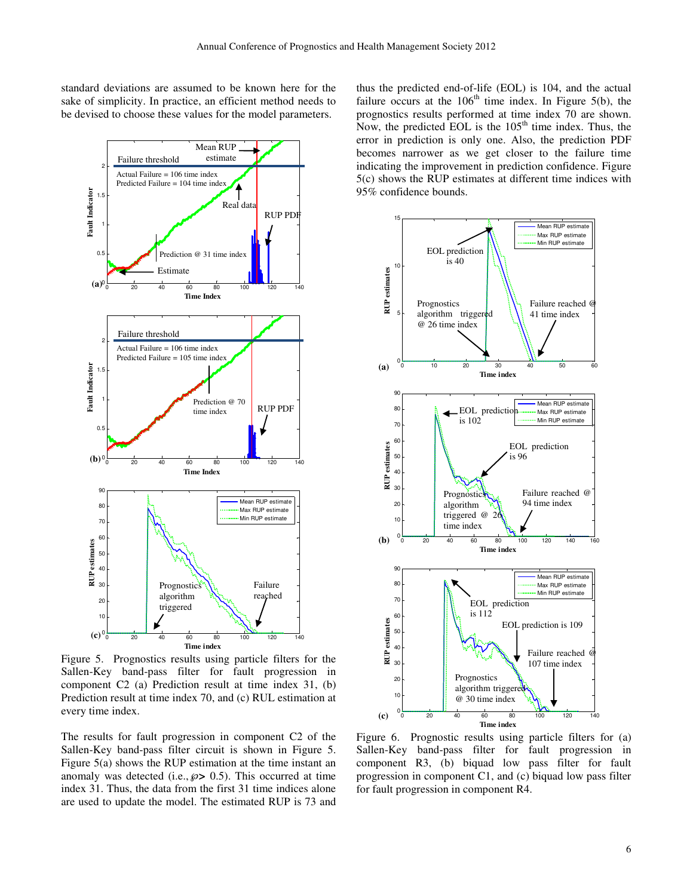standard deviations are assumed to be known here for the sake of simplicity. In practice, an efficient method needs to be devised to choose these values for the model parameters.



Figure 5. Prognostics results using particle filters for the Sallen-Key band-pass filter for fault progression in component C2 (a) Prediction result at time index 31, (b) Prediction result at time index 70, and (c) RUL estimation at every time index.

The results for fault progression in component C2 of the Sallen-Key band-pass filter circuit is shown in Figure 5. Figure 5(a) shows the RUP estimation at the time instant an anomaly was detected (i.e.,  $\wp$  > 0.5). This occurred at time index 31. Thus, the data from the first 31 time indices alone are used to update the model. The estimated RUP is 73 and thus the predicted end-of-life (EOL) is 104, and the actual failure occurs at the  $106<sup>th</sup>$  time index. In Figure 5(b), the prognostics results performed at time index 70 are shown. Now, the predicted EOL is the  $105<sup>th</sup>$  time index. Thus, the error in prediction is only one. Also, the prediction PDF becomes narrower as we get closer to the failure time indicating the improvement in prediction confidence. Figure 5(c) shows the RUP estimates at different time indices with 95% confidence bounds.



Figure 6. Prognostic results using particle filters for (a) Sallen-Key band-pass filter for fault progression in component R3, (b) biquad low pass filter for fault progression in component C1, and (c) biquad low pass filter for fault progression in component R4.